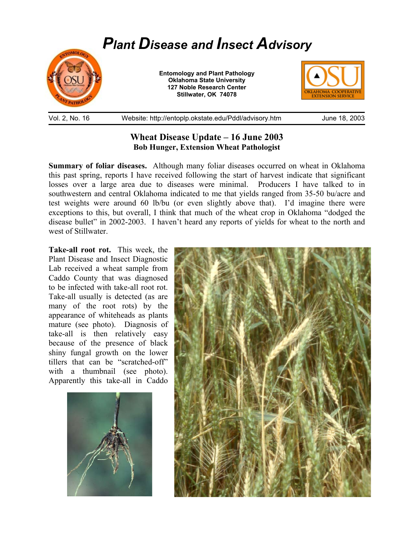

## Vol. 2, No. 16 Website: http://entoplp.okstate.edu/Pddl/advisory.htm June 18, 2003

## **Wheat Disease Update – 16 June 2003 Bob Hunger, Extension Wheat Pathologist**

**Summary of foliar diseases.** Although many foliar diseases occurred on wheat in Oklahoma this past spring, reports I have received following the start of harvest indicate that significant losses over a large area due to diseases were minimal. Producers I have talked to in southwestern and central Oklahoma indicated to me that yields ranged from 35-50 bu/acre and test weights were around 60 lb/bu (or even slightly above that). I'd imagine there were exceptions to this, but overall, I think that much of the wheat crop in Oklahoma "dodged the disease bullet" in 2002-2003. I haven't heard any reports of yields for wheat to the north and west of Stillwater.

**Take-all root rot.** This week, the Plant Disease and Insect Diagnostic Lab received a wheat sample from Caddo County that was diagnosed to be infected with take-all root rot. Take-all usually is detected (as are many of the root rots) by the appearance of whiteheads as plants mature (see photo). Diagnosis of take-all is then relatively easy because of the presence of black shiny fungal growth on the lower tillers that can be "scratched-off" with a thumbnail (see photo). Apparently this take-all in Caddo



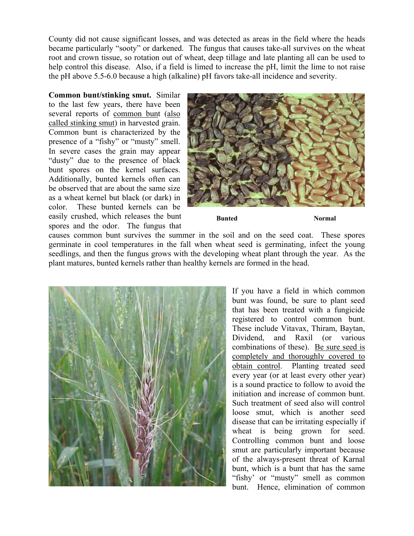County did not cause significant losses, and was detected as areas in the field where the heads became particularly "sooty" or darkened. The fungus that causes take-all survives on the wheat root and crown tissue, so rotation out of wheat, deep tillage and late planting all can be used to help control this disease. Also, if a field is limed to increase the pH, limit the lime to not raise the pH above 5.5-6.0 because a high (alkaline) pH favors take-all incidence and severity.

**Common bunt/stinking smut.** Similar to the last few years, there have been several reports of common bunt (also called stinking smut) in harvested grain. Common bunt is characterized by the presence of a "fishy" or "musty" smell. In severe cases the grain may appear "dusty" due to the presence of black bunt spores on the kernel surfaces. Additionally, bunted kernels often can be observed that are about the same size as a wheat kernel but black (or dark) in color. These bunted kernels can be easily crushed, which releases the bunt spores and the odor. The fungus that



**Bunted Normal** 

causes common bunt survives the summer in the soil and on the seed coat. These spores germinate in cool temperatures in the fall when wheat seed is germinating, infect the young seedlings, and then the fungus grows with the developing wheat plant through the year. As the plant matures, bunted kernels rather than healthy kernels are formed in the head.



If you have a field in which common bunt was found, be sure to plant seed that has been treated with a fungicide registered to control common bunt. These include Vitavax, Thiram, Baytan, Dividend, and Raxil (or various combinations of these). Be sure seed is completely and thoroughly covered to obtain control. Planting treated seed every year (or at least every other year) is a sound practice to follow to avoid the initiation and increase of common bunt. Such treatment of seed also will control loose smut, which is another seed disease that can be irritating especially if wheat is being grown for seed. Controlling common bunt and loose smut are particularly important because of the always-present threat of Karnal bunt, which is a bunt that has the same "fishy' or "musty" smell as common bunt. Hence, elimination of common